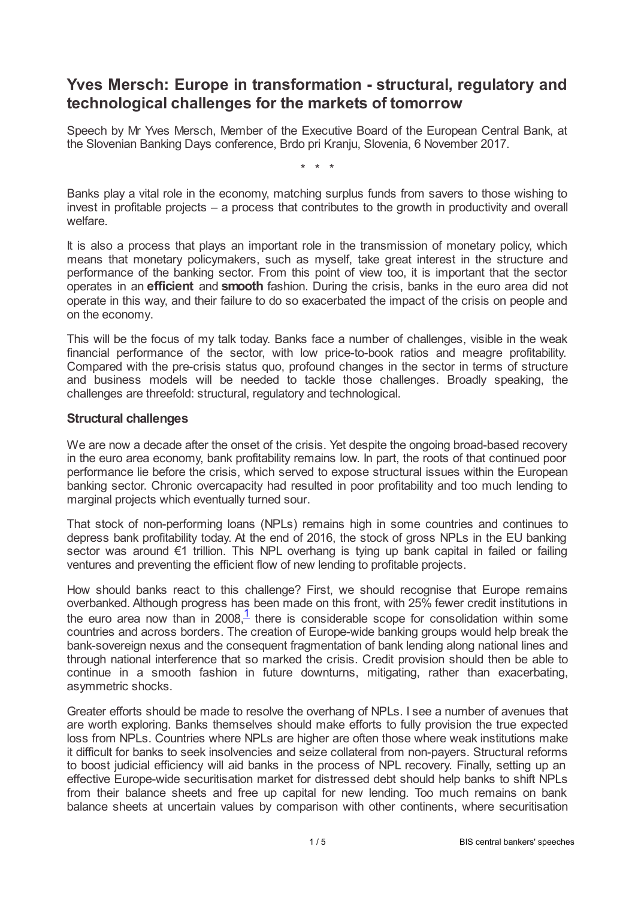# **Yves Mersch: Europe in transformation - structural, regulatory and technological challenges for the markets of tomorrow**

Speech by Mr Yves Mersch, Member of the Executive Board of the European Central Bank, at the Slovenian Banking Days conference, Brdo pri Kranju, Slovenia, 6 November 2017.

\* \* \*

Banks play a vital role in the economy, matching surplus funds from savers to those wishing to invest in profitable projects – a process that contributes to the growth in productivity and overall welfare.

It is also a process that plays an important role in the transmission of monetary policy, which means that monetary policymakers, such as myself, take great interest in the structure and performance of the banking sector. From this point of view too, it is important that the sector operates in an **efficient** and **smooth** fashion. During the crisis, banks in the euro area did not operate in this way, and their failure to do so exacerbated the impact of the crisis on people and on the economy.

This will be the focus of my talk today. Banks face a number of challenges, visible in the weak financial performance of the sector, with low price-to-book ratios and meagre profitability. Compared with the pre-crisis status quo, profound changes in the sector in terms of structure and business models will be needed to tackle those challenges. Broadly speaking, the challenges are threefold: structural, regulatory and technological.

### **Structural challenges**

We are now a decade after the onset of the crisis. Yet despite the ongoing broad-based recovery in the euro area economy, bank profitability remains low. In part, the roots of that continued poor performance lie before the crisis, which served to expose structural issues within the European banking sector. Chronic overcapacity had resulted in poor profitability and too much lending to marginal projects which eventually turned sour.

That stock of non-performing loans (NPLs) remains high in some countries and continues to depress bank profitability today. At the end of 2016, the stock of gross NPLs in the EU banking sector was around €1 trillion. This NPL overhang is tying up bank capital in failed or failing ventures and preventing the efficient flow of new lending to profitable projects.

<span id="page-0-0"></span>How should banks react to this challenge? First, we should recognise that Europe remains overbanked. Although progress has been made on this front, with 25% fewer credit institutions in the euro area now than in 2008, $\frac{1}{1}$  $\frac{1}{1}$  $\frac{1}{1}$  there is considerable scope for consolidation within some countries and across borders. The creation of Europe-wide banking groups would help break the bank-sovereign nexus and the consequent fragmentation of bank lending along national lines and through national interference that so marked the crisis. Credit provision should then be able to continue in a smooth fashion in future downturns, mitigating, rather than exacerbating, asymmetric shocks.

Greater efforts should be made to resolve the overhang of NPLs. I see a number of avenues that are worth exploring. Banks themselves should make efforts to fully provision the true expected loss from NPLs. Countries where NPLs are higher are often those where weak institutions make it difficult for banks to seek insolvencies and seize collateral from non-payers. Structural reforms to boost judicial efficiency will aid banks in the process of NPL recovery. Finally, setting up an effective Europe-wide securitisation market for distressed debt should help banks to shift NPLs from their balance sheets and free up capital for new lending. Too much remains on bank balance sheets at uncertain values by comparison with other continents, where securitisation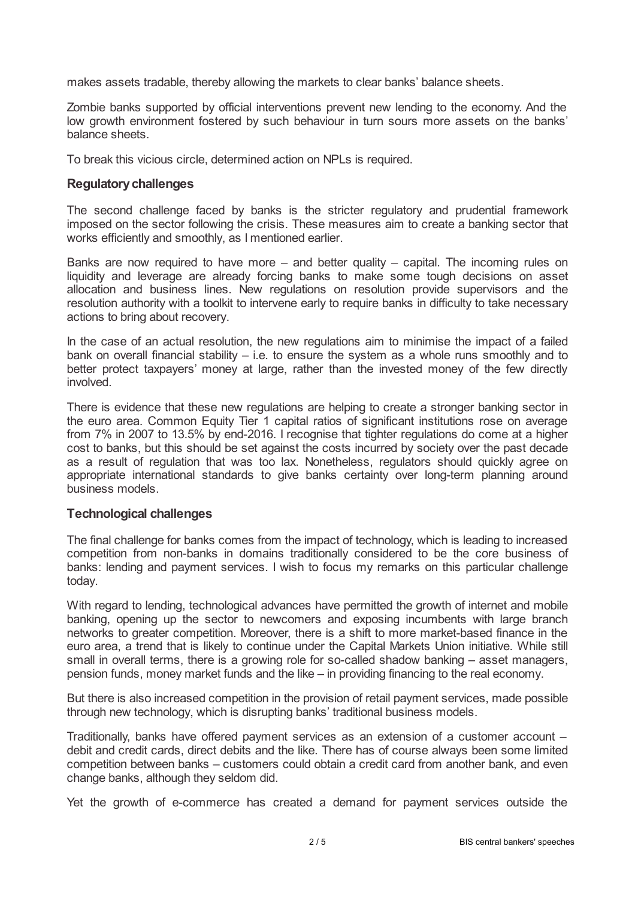makes assets tradable, thereby allowing the markets to clear banks' balance sheets.

Zombie banks supported by official interventions prevent new lending to the economy. And the low growth environment fostered by such behaviour in turn sours more assets on the banks' balance sheets.

To break this vicious circle, determined action on NPLs is required.

### **Regulatorychallenges**

The second challenge faced by banks is the stricter regulatory and prudential framework imposed on the sector following the crisis. These measures aim to create a banking sector that works efficiently and smoothly, as I mentioned earlier.

Banks are now required to have more – and better quality – capital. The incoming rules on liquidity and leverage are already forcing banks to make some tough decisions on asset allocation and business lines. New regulations on resolution provide supervisors and the resolution authority with a toolkit to intervene early to require banks in difficulty to take necessary actions to bring about recovery.

In the case of an actual resolution, the new regulations aim to minimise the impact of a failed bank on overall financial stability  $-$  i.e. to ensure the system as a whole runs smoothly and to better protect taxpayers' money at large, rather than the invested money of the few directly involved.

There is evidence that these new regulations are helping to create a stronger banking sector in the euro area. Common Equity Tier 1 capital ratios of significant institutions rose on average from 7% in 2007 to 13.5% by end-2016. I recognise that tighter regulations do come at a higher cost to banks, but this should be set against the costs incurred by society over the past decade as a result of regulation that was too lax. Nonetheless, regulators should quickly agree on appropriate international standards to give banks certainty over long-term planning around business models.

### **Technological challenges**

The final challenge for banks comes from the impact of technology, which is leading to increased competition from non-banks in domains traditionally considered to be the core business of banks: lending and payment services. I wish to focus my remarks on this particular challenge today.

With regard to lending, technological advances have permitted the growth of internet and mobile banking, opening up the sector to newcomers and exposing incumbents with large branch networks to greater competition. Moreover, there is a shift to more market-based finance in the euro area, a trend that is likely to continue under the Capital Markets Union initiative. While still small in overall terms, there is a growing role for so-called shadow banking – asset managers, pension funds, money market funds and the like – in providing financing to the real economy.

But there is also increased competition in the provision of retail payment services, made possible through new technology, which is disrupting banks' traditional business models.

Traditionally, banks have offered payment services as an extension of a customer account – debit and credit cards, direct debits and the like. There has of course always been some limited competition between banks – customers could obtain a credit card from another bank, and even change banks, although they seldom did.

Yet the growth of e-commerce has created a demand for payment services outside the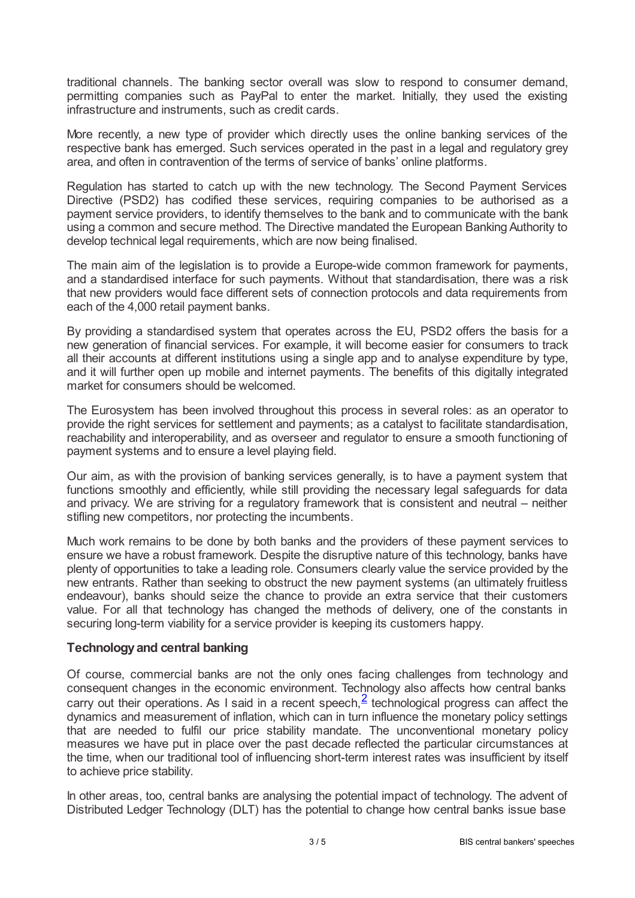traditional channels. The banking sector overall was slow to respond to consumer demand, permitting companies such as PayPal to enter the market. Initially, they used the existing infrastructure and instruments, such as credit cards.

More recently, a new type of provider which directly uses the online banking services of the respective bank has emerged. Such services operated in the past in a legal and regulatory grey area, and often in contravention of the terms of service of banks' online platforms.

Regulation has started to catch up with the new technology. The Second Payment Services Directive (PSD2) has codified these services, requiring companies to be authorised as a payment service providers, to identify themselves to the bank and to communicate with the bank using a common and secure method. The Directive mandated the European Banking Authority to develop technical legal requirements, which are now being finalised.

The main aim of the legislation is to provide a Europe-wide common framework for payments, and a standardised interface for such payments. Without that standardisation, there was a risk that new providers would face different sets of connection protocols and data requirements from each of the 4,000 retail payment banks.

By providing a standardised system that operates across the EU, PSD2 offers the basis for a new generation of financial services. For example, it will become easier for consumers to track all their accounts at different institutions using a single app and to analyse expenditure by type, and it will further open up mobile and internet payments. The benefits of this digitally integrated market for consumers should be welcomed.

The Eurosystem has been involved throughout this process in several roles: as an operator to provide the right services for settlement and payments; as a catalyst to facilitate standardisation, reachability and interoperability, and as overseer and regulator to ensure a smooth functioning of payment systems and to ensure a level playing field.

Our aim, as with the provision of banking services generally, is to have a payment system that functions smoothly and efficiently, while still providing the necessary legal safeguards for data and privacy. We are striving for a regulatory framework that is consistent and neutral – neither stifling new competitors, nor protecting the incumbents.

Much work remains to be done by both banks and the providers of these payment services to ensure we have a robust framework. Despite the disruptive nature of this technology, banks have plenty of opportunities to take a leading role. Consumers clearly value the service provided by the new entrants. Rather than seeking to obstruct the new payment systems (an ultimately fruitless endeavour), banks should seize the chance to provide an extra service that their customers value. For all that technology has changed the methods of delivery, one of the constants in securing long-term viability for a service provider is keeping its customers happy.

### **Technologyand central banking**

<span id="page-2-0"></span>Of course, commercial banks are not the only ones facing challenges from technology and consequent changes in the economic environment. Technology also affects how central banks carry out their operations. As I said in a recent speech,  $\frac{2}{5}$  $\frac{2}{5}$  $\frac{2}{5}$  technological progress can affect the dynamics and measurement of inflation, which can in turn influence the monetary policy settings that are needed to fulfil our price stability mandate. The unconventional monetary policy measures we have put in place over the past decade reflected the particular circumstances at the time, when our traditional tool of influencing short-term interest rates was insufficient by itself to achieve price stability.

In other areas, too, central banks are analysing the potential impact of technology. The advent of Distributed Ledger Technology (DLT) has the potential to change how central banks issue base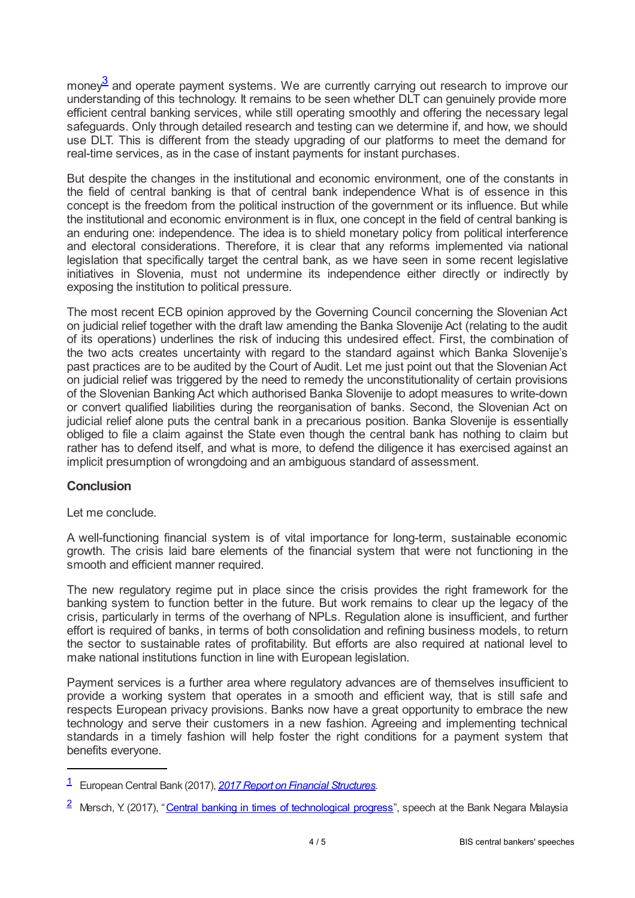<span id="page-3-2"></span>money $^3$  $^3$  and operate payment systems. We are currently carrying out research to improve our understanding of this technology. It remains to be seen whether DLT can genuinely provide more efficient central banking services, while still operating smoothly and offering the necessary legal safeguards. Only through detailed research and testing can we determine if, and how, we should use DLT. This is different from the steady upgrading of our platforms to meet the demand for real-time services, as in the case of instant payments for instant purchases.

But despite the changes in the institutional and economic environment, one of the constants in the field of central banking is that of central bank independence What is of essence in this concept is the freedom from the political instruction of the government or its influence. But while the institutional and economic environment is in flux, one concept in the field of central banking is an enduring one: independence. The idea is to shield monetary policy from political interference and electoral considerations. Therefore, it is clear that any reforms implemented via national legislation that specifically target the central bank, as we have seen in some recent legislative initiatives in Slovenia, must not undermine its independence either directly or indirectly by exposing the institution to political pressure.

The most recent ECB opinion approved by the Governing Council concerning the Slovenian Act on judicial relief together with the draft law amending the Banka Slovenije Act (relating to the audit of its operations) underlines the risk of inducing this undesired effect. First, the combination of the two acts creates uncertainty with regard to the standard against which Banka Slovenije's past practices are to be audited by the Court of Audit. Let me just point out that the Slovenian Act on judicial relief was triggered by the need to remedy the unconstitutionality of certain provisions of the Slovenian Banking Act which authorised Banka Slovenije to adopt measures to write-down or convert qualified liabilities during the reorganisation of banks. Second, the Slovenian Act on judicial relief alone puts the central bank in a precarious position. Banka Slovenije is essentially obliged to file a claim against the State even though the central bank has nothing to claim but rather has to defend itself, and what is more, to defend the diligence it has exercised against an implicit presumption of wrongdoing and an ambiguous standard of assessment.

## **Conclusion**

### Let me conclude.

A well-functioning financial system is of vital importance for long-term, sustainable economic growth. The crisis laid bare elements of the financial system that were not functioning in the smooth and efficient manner required.

The new regulatory regime put in place since the crisis provides the right framework for the banking system to function better in the future. But work remains to clear up the legacy of the crisis, particularly in terms of the overhang of NPLs. Regulation alone is insufficient, and further effort is required of banks, in terms of both consolidation and refining business models, to return the sector to sustainable rates of profitability. But efforts are also required at national level to make national institutions function in line with European legislation.

Payment services is a further area where regulatory advances are of themselves insufficient to provide a working system that operates in a smooth and efficient way, that is still safe and respects European privacy provisions. Banks now have a great opportunity to embrace the new technology and serve their customers in a new fashion. Agreeing and implementing technical standards in a timely fashion will help foster the right conditions for a payment system that benefits everyone.

<span id="page-3-0"></span>European Central Bank (2017), *2017 Report on Financial [Structures](www.ecb.europa.eu/pub/pdf/other/reportonfinancialstructures201710.en.pdf)*. [1](#page-0-0)

<span id="page-3-1"></span><sup>&</sup>lt;sup>2</sup> Mersch, Y. (2017), "Central banking in times of [technological](www.ecb.europa.eu/press/key/date/2017/html/ecb.sp170724.en.html) progress", speech at the Bank Negara Malaysia